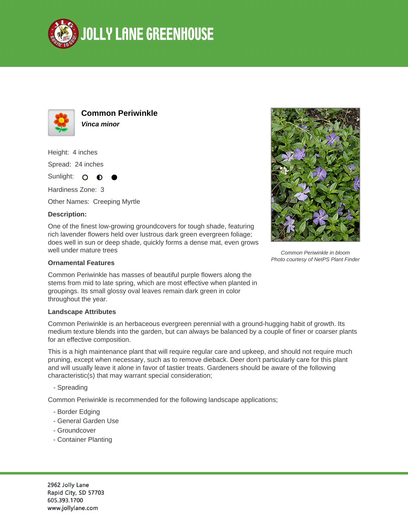



**Common Periwinkle Vinca minor**

Height: 4 inches Spread: 24 inches

Sunlight: O  $\bullet$ 

Hardiness Zone: 3

Other Names: Creeping Myrtle

## **Description:**

One of the finest low-growing groundcovers for tough shade, featuring rich lavender flowers held over lustrous dark green evergreen foliage; does well in sun or deep shade, quickly forms a dense mat, even grows well under mature trees

## **Ornamental Features**

Common Periwinkle has masses of beautiful purple flowers along the stems from mid to late spring, which are most effective when planted in groupings. Its small glossy oval leaves remain dark green in color throughout the year.

## **Landscape Attributes**

Common Periwinkle is an herbaceous evergreen perennial with a ground-hugging habit of growth. Its medium texture blends into the garden, but can always be balanced by a couple of finer or coarser plants for an effective composition.

This is a high maintenance plant that will require regular care and upkeep, and should not require much pruning, except when necessary, such as to remove dieback. Deer don't particularly care for this plant and will usually leave it alone in favor of tastier treats. Gardeners should be aware of the following characteristic(s) that may warrant special consideration;

- Spreading

Common Periwinkle is recommended for the following landscape applications;

- Border Edging
- General Garden Use
- Groundcover
- Container Planting

2962 Jolly Lane Rapid City, SD 57703 605.393.1700 www.jollylane.com



Common Periwinkle in bloom Photo courtesy of NetPS Plant Finder